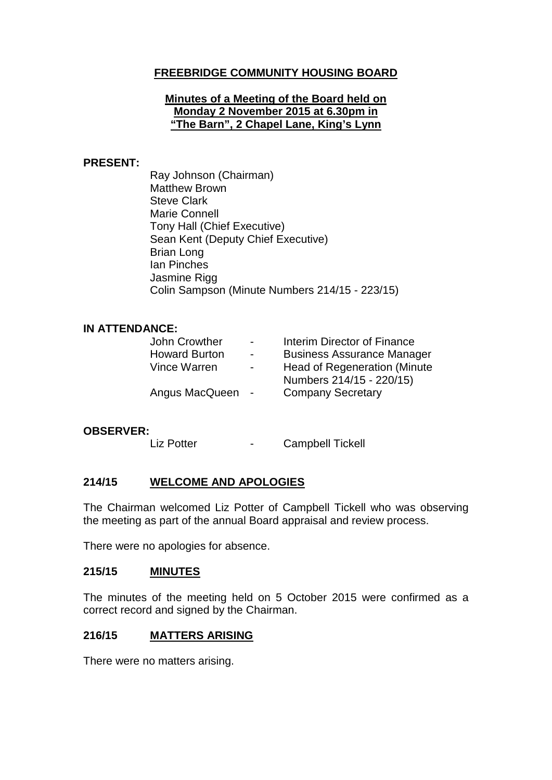# **FREEBRIDGE COMMUNITY HOUSING BOARD**

#### **Minutes of a Meeting of the Board held on Monday 2 November 2015 at 6.30pm in "The Barn", 2 Chapel Lane, King's Lynn**

#### **PRESENT:**

Ray Johnson (Chairman) Matthew Brown Steve Clark Marie Connell Tony Hall (Chief Executive) Sean Kent (Deputy Chief Executive) Brian Long Ian Pinches Jasmine Rigg Colin Sampson (Minute Numbers 214/15 - 223/15)

#### **IN ATTENDANCE:**

| John Crowther        | $\overline{\phantom{0}}$ | Interim Director of Finance       |
|----------------------|--------------------------|-----------------------------------|
| <b>Howard Burton</b> | $\overline{\phantom{0}}$ | <b>Business Assurance Manager</b> |
| Vince Warren         | $\overline{\phantom{0}}$ | Head of Regeneration (Minute)     |
|                      |                          | Numbers 214/15 - 220/15)          |
| Angus MacQueen       | $\sim$                   | <b>Company Secretary</b>          |
|                      |                          |                                   |

#### **OBSERVER:**

Liz Potter **- Campbell Tickell** 

# **214/15 WELCOME AND APOLOGIES**

The Chairman welcomed Liz Potter of Campbell Tickell who was observing the meeting as part of the annual Board appraisal and review process.

There were no apologies for absence.

## **215/15 MINUTES**

The minutes of the meeting held on 5 October 2015 were confirmed as a correct record and signed by the Chairman.

### **216/15 MATTERS ARISING**

There were no matters arising.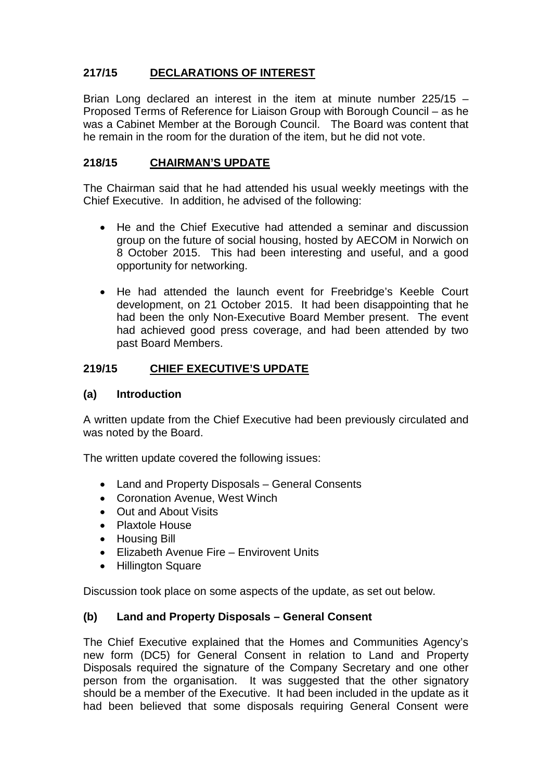# **217/15 DECLARATIONS OF INTEREST**

Brian Long declared an interest in the item at minute number 225/15 – Proposed Terms of Reference for Liaison Group with Borough Council – as he was a Cabinet Member at the Borough Council. The Board was content that he remain in the room for the duration of the item, but he did not vote.

# **218/15 CHAIRMAN'S UPDATE**

The Chairman said that he had attended his usual weekly meetings with the Chief Executive. In addition, he advised of the following:

- He and the Chief Executive had attended a seminar and discussion group on the future of social housing, hosted by AECOM in Norwich on 8 October 2015. This had been interesting and useful, and a good opportunity for networking.
- He had attended the launch event for Freebridge's Keeble Court development, on 21 October 2015. It had been disappointing that he had been the only Non-Executive Board Member present. The event had achieved good press coverage, and had been attended by two past Board Members.

# **219/15 CHIEF EXECUTIVE'S UPDATE**

# **(a) Introduction**

A written update from the Chief Executive had been previously circulated and was noted by the Board.

The written update covered the following issues:

- Land and Property Disposals General Consents
- Coronation Avenue, West Winch
- Out and About Visits
- Plaxtole House
- Housing Bill
- Elizabeth Avenue Fire Envirovent Units
- Hillington Square

Discussion took place on some aspects of the update, as set out below.

### **(b) Land and Property Disposals – General Consent**

The Chief Executive explained that the Homes and Communities Agency's new form (DC5) for General Consent in relation to Land and Property Disposals required the signature of the Company Secretary and one other person from the organisation. It was suggested that the other signatory should be a member of the Executive. It had been included in the update as it had been believed that some disposals requiring General Consent were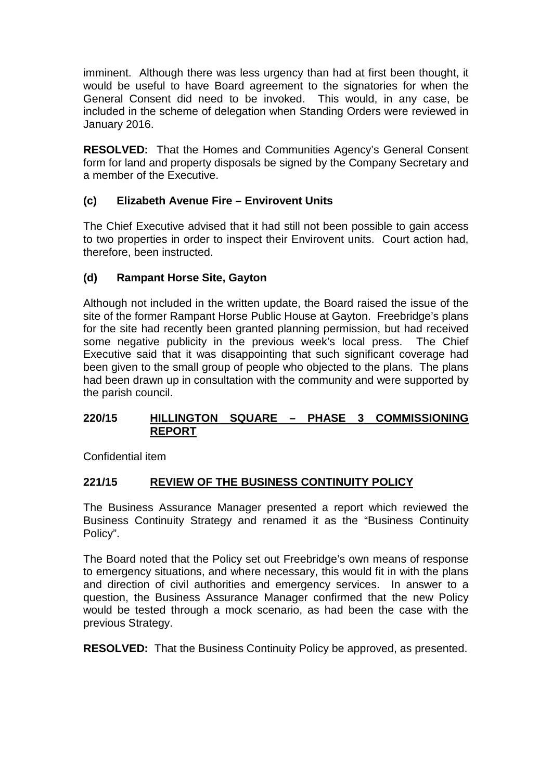imminent. Although there was less urgency than had at first been thought, it would be useful to have Board agreement to the signatories for when the General Consent did need to be invoked. This would, in any case, be included in the scheme of delegation when Standing Orders were reviewed in January 2016.

**RESOLVED:** That the Homes and Communities Agency's General Consent form for land and property disposals be signed by the Company Secretary and a member of the Executive.

# **(c) Elizabeth Avenue Fire – Envirovent Units**

The Chief Executive advised that it had still not been possible to gain access to two properties in order to inspect their Envirovent units. Court action had, therefore, been instructed.

# **(d) Rampant Horse Site, Gayton**

Although not included in the written update, the Board raised the issue of the site of the former Rampant Horse Public House at Gayton. Freebridge's plans for the site had recently been granted planning permission, but had received some negative publicity in the previous week's local press. The Chief Executive said that it was disappointing that such significant coverage had been given to the small group of people who objected to the plans. The plans had been drawn up in consultation with the community and were supported by the parish council.

### **220/15 HILLINGTON SQUARE – PHASE 3 COMMISSIONING REPORT**

Confidential item

# **221/15 REVIEW OF THE BUSINESS CONTINUITY POLICY**

The Business Assurance Manager presented a report which reviewed the Business Continuity Strategy and renamed it as the "Business Continuity Policy".

The Board noted that the Policy set out Freebridge's own means of response to emergency situations, and where necessary, this would fit in with the plans and direction of civil authorities and emergency services. In answer to a question, the Business Assurance Manager confirmed that the new Policy would be tested through a mock scenario, as had been the case with the previous Strategy.

**RESOLVED:** That the Business Continuity Policy be approved, as presented.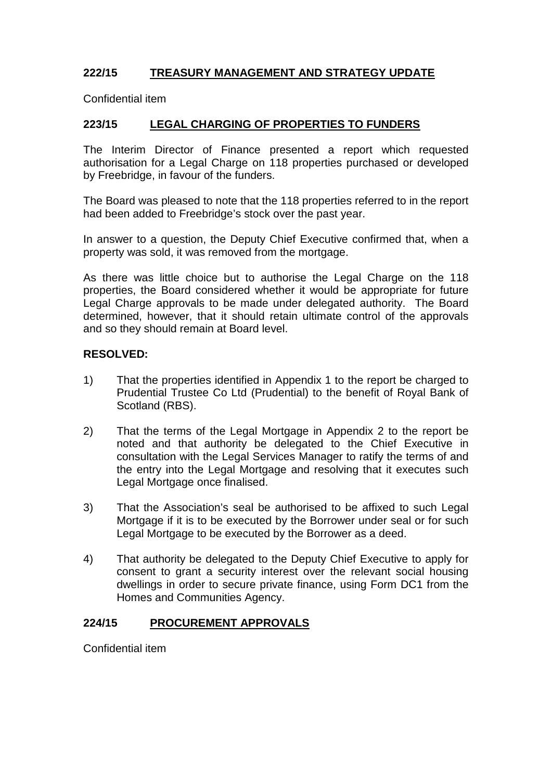# **222/15 TREASURY MANAGEMENT AND STRATEGY UPDATE**

Confidential item

# **223/15 LEGAL CHARGING OF PROPERTIES TO FUNDERS**

The Interim Director of Finance presented a report which requested authorisation for a Legal Charge on 118 properties purchased or developed by Freebridge, in favour of the funders.

The Board was pleased to note that the 118 properties referred to in the report had been added to Freebridge's stock over the past year.

In answer to a question, the Deputy Chief Executive confirmed that, when a property was sold, it was removed from the mortgage.

As there was little choice but to authorise the Legal Charge on the 118 properties, the Board considered whether it would be appropriate for future Legal Charge approvals to be made under delegated authority. The Board determined, however, that it should retain ultimate control of the approvals and so they should remain at Board level.

### **RESOLVED:**

- 1) That the properties identified in Appendix 1 to the report be charged to Prudential Trustee Co Ltd (Prudential) to the benefit of Royal Bank of Scotland (RBS).
- 2) That the terms of the Legal Mortgage in Appendix 2 to the report be noted and that authority be delegated to the Chief Executive in consultation with the Legal Services Manager to ratify the terms of and the entry into the Legal Mortgage and resolving that it executes such Legal Mortgage once finalised.
- 3) That the Association's seal be authorised to be affixed to such Legal Mortgage if it is to be executed by the Borrower under seal or for such Legal Mortgage to be executed by the Borrower as a deed.
- 4) That authority be delegated to the Deputy Chief Executive to apply for consent to grant a security interest over the relevant social housing dwellings in order to secure private finance, using Form DC1 from the Homes and Communities Agency.

### **224/15 PROCUREMENT APPROVALS**

Confidential item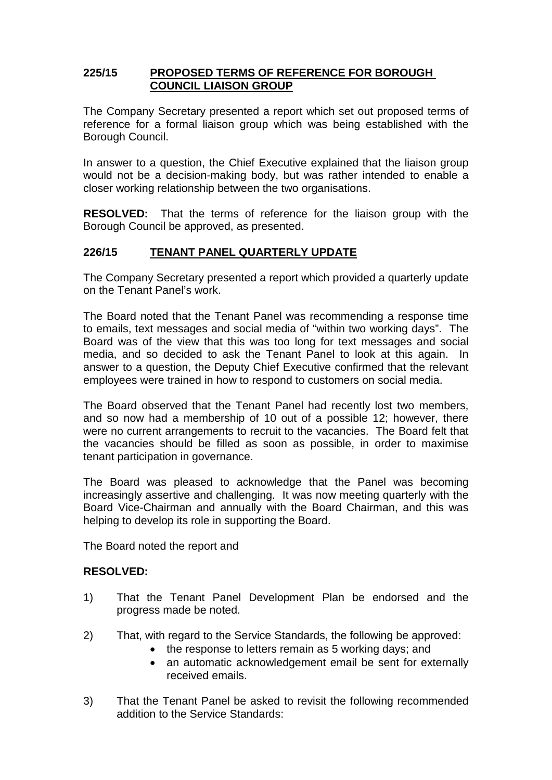## **225/15 PROPOSED TERMS OF REFERENCE FOR BOROUGH COUNCIL LIAISON GROUP**

The Company Secretary presented a report which set out proposed terms of reference for a formal liaison group which was being established with the Borough Council.

In answer to a question, the Chief Executive explained that the liaison group would not be a decision-making body, but was rather intended to enable a closer working relationship between the two organisations.

**RESOLVED:** That the terms of reference for the liaison group with the Borough Council be approved, as presented.

# **226/15 TENANT PANEL QUARTERLY UPDATE**

The Company Secretary presented a report which provided a quarterly update on the Tenant Panel's work.

The Board noted that the Tenant Panel was recommending a response time to emails, text messages and social media of "within two working days". The Board was of the view that this was too long for text messages and social media, and so decided to ask the Tenant Panel to look at this again. In answer to a question, the Deputy Chief Executive confirmed that the relevant employees were trained in how to respond to customers on social media.

The Board observed that the Tenant Panel had recently lost two members, and so now had a membership of 10 out of a possible 12; however, there were no current arrangements to recruit to the vacancies. The Board felt that the vacancies should be filled as soon as possible, in order to maximise tenant participation in governance.

The Board was pleased to acknowledge that the Panel was becoming increasingly assertive and challenging. It was now meeting quarterly with the Board Vice-Chairman and annually with the Board Chairman, and this was helping to develop its role in supporting the Board.

The Board noted the report and

### **RESOLVED:**

- 1) That the Tenant Panel Development Plan be endorsed and the progress made be noted.
- 2) That, with regard to the Service Standards, the following be approved:
	- the response to letters remain as 5 working days; and
	- an automatic acknowledgement email be sent for externally received emails.
- 3) That the Tenant Panel be asked to revisit the following recommended addition to the Service Standards: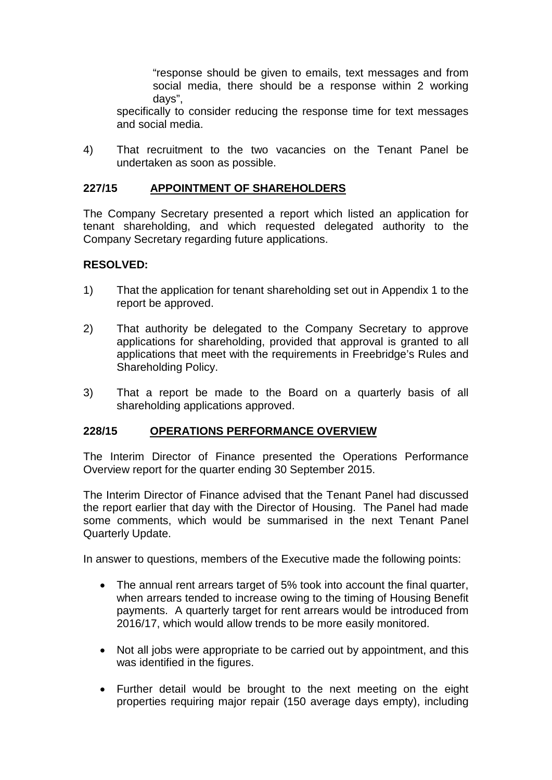"response should be given to emails, text messages and from social media, there should be a response within 2 working days",

specifically to consider reducing the response time for text messages and social media.

4) That recruitment to the two vacancies on the Tenant Panel be undertaken as soon as possible.

## **227/15 APPOINTMENT OF SHAREHOLDERS**

The Company Secretary presented a report which listed an application for tenant shareholding, and which requested delegated authority to the Company Secretary regarding future applications.

### **RESOLVED:**

- 1) That the application for tenant shareholding set out in Appendix 1 to the report be approved.
- 2) That authority be delegated to the Company Secretary to approve applications for shareholding, provided that approval is granted to all applications that meet with the requirements in Freebridge's Rules and Shareholding Policy.
- 3) That a report be made to the Board on a quarterly basis of all shareholding applications approved.

### **228/15 OPERATIONS PERFORMANCE OVERVIEW**

The Interim Director of Finance presented the Operations Performance Overview report for the quarter ending 30 September 2015.

The Interim Director of Finance advised that the Tenant Panel had discussed the report earlier that day with the Director of Housing. The Panel had made some comments, which would be summarised in the next Tenant Panel Quarterly Update.

In answer to questions, members of the Executive made the following points:

- The annual rent arrears target of 5% took into account the final quarter, when arrears tended to increase owing to the timing of Housing Benefit payments. A quarterly target for rent arrears would be introduced from 2016/17, which would allow trends to be more easily monitored.
- Not all jobs were appropriate to be carried out by appointment, and this was identified in the figures.
- Further detail would be brought to the next meeting on the eight properties requiring major repair (150 average days empty), including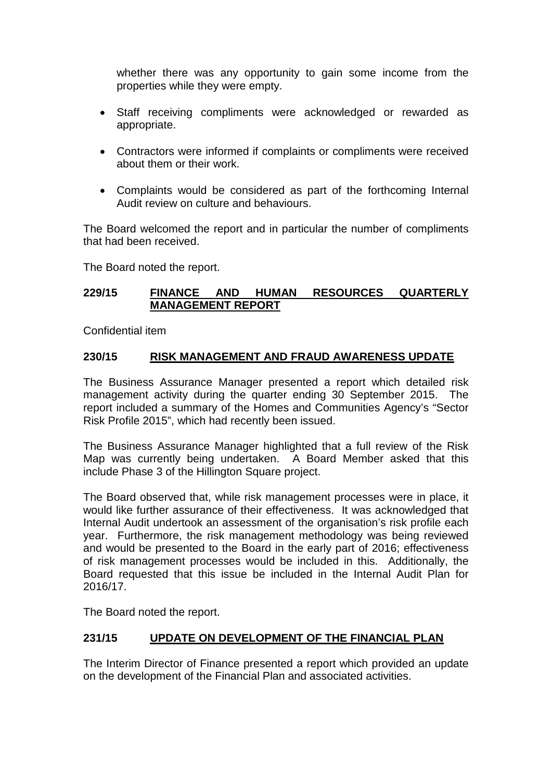whether there was any opportunity to gain some income from the properties while they were empty.

- Staff receiving compliments were acknowledged or rewarded as appropriate.
- Contractors were informed if complaints or compliments were received about them or their work.
- Complaints would be considered as part of the forthcoming Internal Audit review on culture and behaviours.

The Board welcomed the report and in particular the number of compliments that had been received.

The Board noted the report.

### **229/15 FINANCE AND HUMAN RESOURCES QUARTERLY MANAGEMENT REPORT**

Confidential item

### **230/15 RISK MANAGEMENT AND FRAUD AWARENESS UPDATE**

The Business Assurance Manager presented a report which detailed risk management activity during the quarter ending 30 September 2015. The report included a summary of the Homes and Communities Agency's "Sector Risk Profile 2015", which had recently been issued.

The Business Assurance Manager highlighted that a full review of the Risk Map was currently being undertaken. A Board Member asked that this include Phase 3 of the Hillington Square project.

The Board observed that, while risk management processes were in place, it would like further assurance of their effectiveness. It was acknowledged that Internal Audit undertook an assessment of the organisation's risk profile each year. Furthermore, the risk management methodology was being reviewed and would be presented to the Board in the early part of 2016; effectiveness of risk management processes would be included in this. Additionally, the Board requested that this issue be included in the Internal Audit Plan for 2016/17.

The Board noted the report.

### **231/15 UPDATE ON DEVELOPMENT OF THE FINANCIAL PLAN**

The Interim Director of Finance presented a report which provided an update on the development of the Financial Plan and associated activities.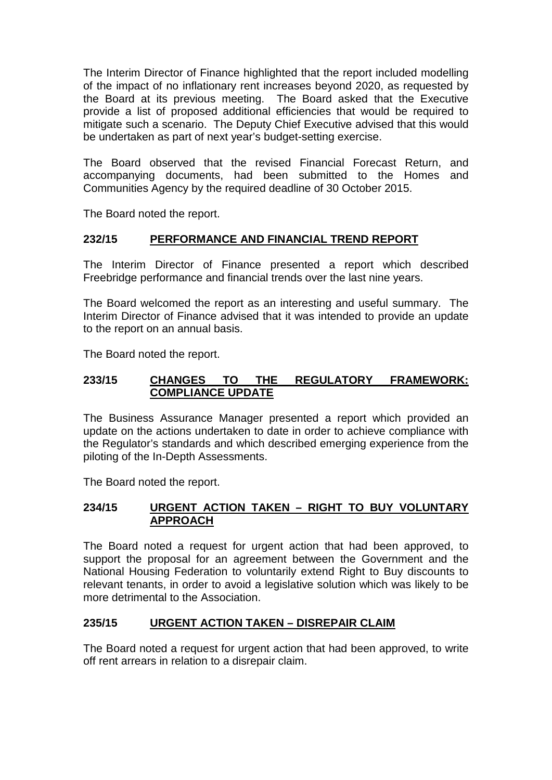The Interim Director of Finance highlighted that the report included modelling of the impact of no inflationary rent increases beyond 2020, as requested by the Board at its previous meeting. The Board asked that the Executive provide a list of proposed additional efficiencies that would be required to mitigate such a scenario. The Deputy Chief Executive advised that this would be undertaken as part of next year's budget-setting exercise.

The Board observed that the revised Financial Forecast Return, and accompanying documents, had been submitted to the Homes and Communities Agency by the required deadline of 30 October 2015.

The Board noted the report.

# **232/15 PERFORMANCE AND FINANCIAL TREND REPORT**

The Interim Director of Finance presented a report which described Freebridge performance and financial trends over the last nine years.

The Board welcomed the report as an interesting and useful summary. The Interim Director of Finance advised that it was intended to provide an update to the report on an annual basis.

The Board noted the report.

## **233/15 CHANGES TO THE REGULATORY FRAMEWORK: COMPLIANCE UPDATE**

The Business Assurance Manager presented a report which provided an update on the actions undertaken to date in order to achieve compliance with the Regulator's standards and which described emerging experience from the piloting of the In-Depth Assessments.

The Board noted the report.

# **234/15 URGENT ACTION TAKEN – RIGHT TO BUY VOLUNTARY APPROACH**

The Board noted a request for urgent action that had been approved, to support the proposal for an agreement between the Government and the National Housing Federation to voluntarily extend Right to Buy discounts to relevant tenants, in order to avoid a legislative solution which was likely to be more detrimental to the Association.

# **235/15 URGENT ACTION TAKEN – DISREPAIR CLAIM**

The Board noted a request for urgent action that had been approved, to write off rent arrears in relation to a disrepair claim.